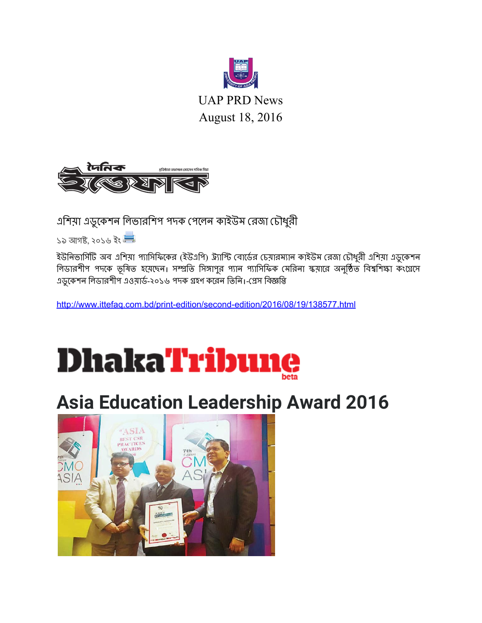

UAP PRD News August 18, 2016



এিশয়া এডুেকশন িলভারিশপ পদক পেলন কাইউম রজা চৗধুরী

১৯ আগষ্ট, ২০১৬ ইং

ইউনিভার্সিটি অব এশিয়া প্যাসিফিকের (ইউএপি) উ্যাস্টি বোর্ডের চেয়ারম্যান কাইউম রেজা চৌধুরী এশিয়া এডুকেশন লিডারশীপ পদকে ভূষিত হয়েছেন। সম্প্রতি সিঙ্গাপুর প্যান প্যাসিফিক মেরিনা স্কয়ারে অনুষ্ঠিত বিশ্বশিক্ষা কংগ্রেসে এডুকেশন লিডারশীপ এওয়ার্ড-২০১৬ পদক গ্রহণ করেন তিনি। প্রেস বিজ্ঞপ্তি

[http://www.ittefaq.com.bd/printedition/secondedition/2016/08/19/138577.html](http://www.ittefaq.com.bd/print-edition/second-edition/2016/08/19/138577.html)



# **Asia Education Leadership Award 2016**

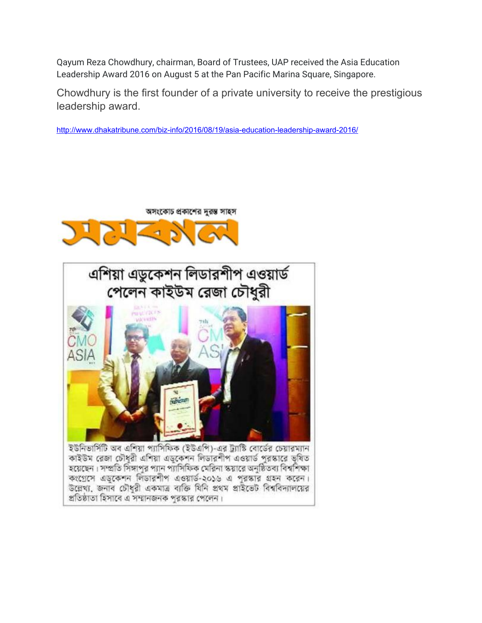Qayum Reza Chowdhury, chairman, Board of Trustees, UAP received the Asia Education Leadership Award 2016 on August 5 at the Pan Pacific Marina Square, Singapore.

Chowdhury is the first founder of a private university to receive the prestigious leadership award.

http://www.dhakatribune.com/biz-info/2016/08/19/asia-education-leadership-award-2016/





কংগ্রেসে এডকেশন লিডারশীপ এওয়ার্ড-২০১৬ এ পুরস্কার গ্রহন করেন। উল্লেখ্য, জনাব চৌধুরী একমাত্র ব্যক্তি যিনি প্রথম প্রাইভেট বিশ্ববিদ্যালয়ের প্রতিষ্ঠাতা হিসাবে এ সম্মানজনক পুরস্কার পেলেন।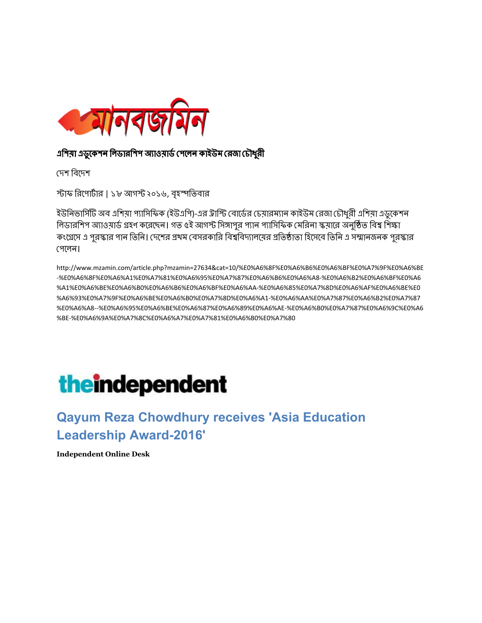

#### এশিয়া এডুকেশন লিডারশিশ অ্যাওয়ার্ড পেলেন কাইউম রেজা চৌধুরী

দেশ বিদেশ

স্টাফ রিপোর্টার | ১৮ আগস্ট ২০১৬, বৃহস্পতিবার

ইউনিভার্সিটি অব এশিয়া প্যাসিফিক (ইউএপি)-এর ট্রাস্টি বোর্ডের চেয়ারম্যান কাইউম রেজা চৌধুরী এশিয়া এডুকেশন লিডারশিপ অ্যাওয়ার্ড গ্রহণ করেছেন। গত ৫ই আগস্ট সিঙ্গাপুর প্যান প্যাসিফিক মেরিনা স্ক্রয়ারে অনুষ্ঠিত বিশ্ব শিক্ষা কংগ্রেসে এ পুরস্কার পান তিনি। দেশের প্রথম বেসরকারি বিশ্ববিদ্যালয়ের প্রতিষ্ঠাতা হিসেবে তিনি এ সন্মানজনক পুরস্কার পেলেন।

http://www.mzamin.com/article.php?mzamin=27634&cat=10/%E0%A6%8F%E0%A6%B6%E0%A6%BF%E0%A7%9F%E0%A6%BE %E0%A6%8F%E0%A6%A1%E0%A7%81%E0%A6%95%E0%A7%87%E0%A6%B6%E0%A6%A8%E0%A6%B2%E0%A6%BF%E0%A6 %A1%E0%A6%BE%E0%A6%B0%E0%A6%B6%E0%A6%BF%E0%A6%AA%E0%A6%85%E0%A7%8D%E0%A6%AF%E0%A6%BE%E0 %A6%93%E0%A7%9F%E0%A6%BE%E0%A6%B0%E0%A7%8D%E0%A6%A1%E0%A6%AA%E0%A7%87%E0%A6%B2%E0%A7%87 %E0%A6%A8%E0%A6%95%E0%A6%BE%E0%A6%87%E0%A6%89%E0%A6%AE%E0%A6%B0%E0%A7%87%E0%A6%9C%E0%A6 %BE%E0%A6%9A%E0%A7%8C%E0%A6%A7%E0%A7%81%E0%A6%B0%E0%A7%80

# **theindependent**

#### **Qayum Reza Chowdhury receives 'Asia Education Leadership Award-2016'**

**Independent Online Desk**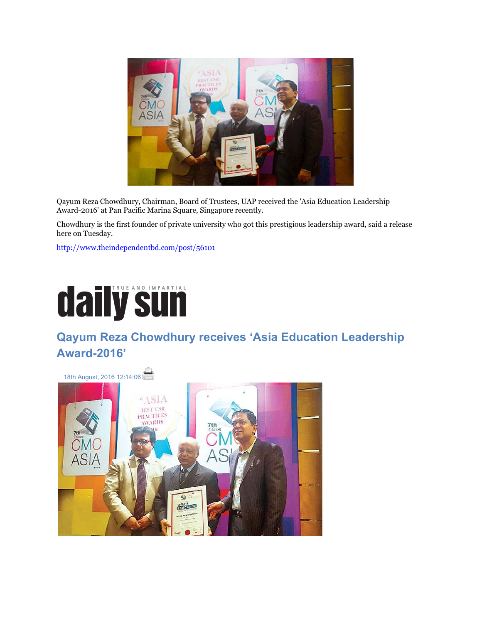

Qayum Reza Chowdhury, Chairman, Board of Trustees, UAP received the 'Asia Education Leadership Award-2016' at Pan Pacific Marina Square, Singapore recently.

Chowdhury is the first founder of private university who got this prestigious leadership award, said a release here on Tuesday.

<http://www.theindependentbd.com/post/56101>



#### **Qayum Reza Chowdhury receives 'Asia Education Leadership Award-2016'**

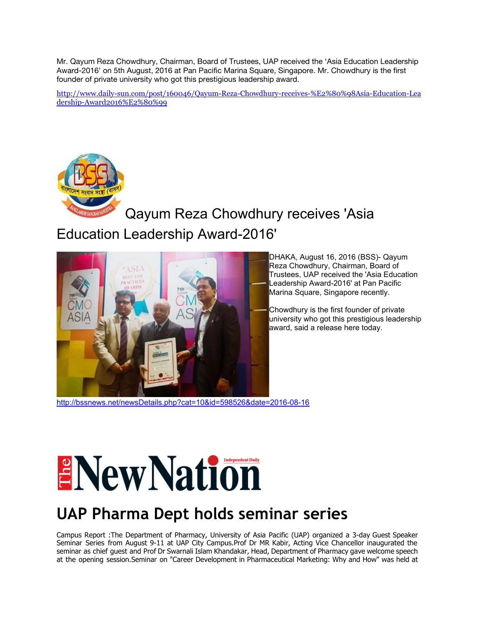Mr. Qayum Reza Chowdhury, Chairman, Board of Trustees, UAP received the 'Asia Education Leadership Award-2016' on 5th August, 2016 at Pan Pacific Marina Square, Singapore. Mr. Chowdhury is the first founder of private university who got this prestigious leadership award.

http://www.daily-sun.com/post/160046/Qayum-Reza-Chowdhury-receives-%E2%80%98Asia-Education-Lea dership-Award2016%E2%80%99



### Qayum Reza Chowdhury receives 'Asia Education Leadership Award-2016'



DHAKA, August 16, 2016 (BSS)- Qayum Reza Chowdhury, Chairman, Board of Trustees, UAP received the 'Asia Education Leadership Award-2016' at Pan Pacific Marina Square, Singapore recently.

Chowdhury is the first founder of private university who got this prestigious leadership award, said a release here today.

http://bssnews.net/newsDetails.php?cat=10&id=598526&date=2016-08-16

# ENew Nation

## **UAP Pharma Dept holds seminar series**

Campus Report :The Department of Pharmacy, University of Asia Pacific (UAP) organized a 3-day Guest Speaker Seminar Series from August 911 at UAP City Campus.Prof Dr MR Kabir, Acting Vice Chancellor inaugurated the seminar as chief guest and Prof Dr Swarnali Islam Khandakar, Head, Department of Pharmacy gave welcome speech at the opening session.Seminar on "Career Development in Pharmaceutical Marketing: Why and How" was held at